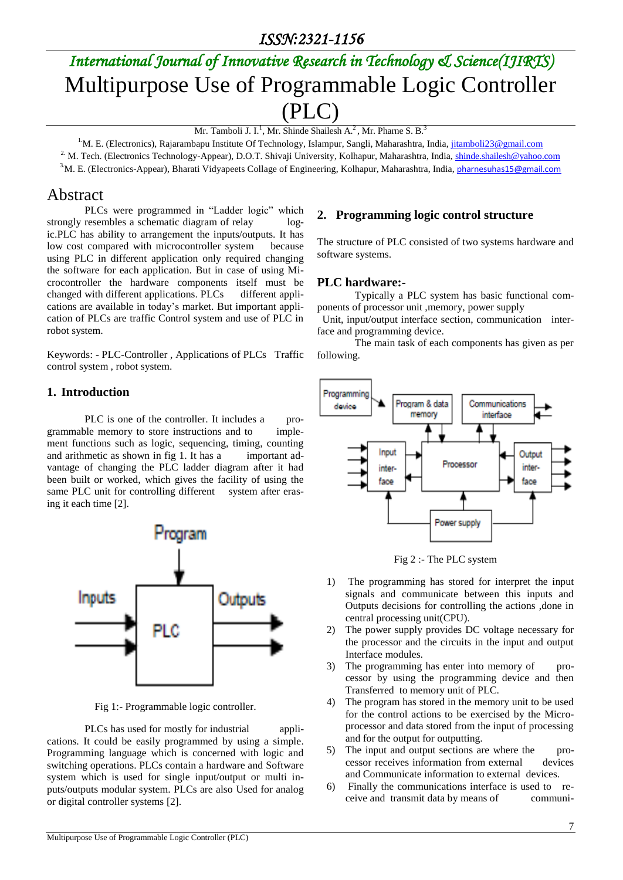# *International Journal of Innovative Research in Technology & Science(IJIRTS)* Multipurpose Use of Programmable Logic Controller (PLC)

Mr. Tamboli J. I.<sup>1</sup>, Mr. Shinde Shailesh A.<sup>2</sup>, Mr. Pharne S. B.<sup>3</sup>

<sup>1.</sup>M. E. (Electronics), Rajarambapu Institute Of Technology, Islampur, Sangli, Maharashtra, India[, jitamboli23@gmail.com](mailto:jitamboli23@gmail.com)

<sup>2.</sup> M. Tech. (Electronics Technology-Appear), D.O.T. Shivaji University, Kolhapur, Maharashtra, India[, shinde.shailesh@yahoo.com](mailto:shinde.shailesh@yahoo.com)

3.M. E. (Electronics-Appear), Bharati Vidyapeets Collage of Engineering, Kolhapur, Maharashtra, India, [pharnesuhas15@gmail.com](mailto:pharnesuhas15@gmail.com)

### Abstract

PLCs were programmed in "Ladder logic" which strongly resembles a schematic diagram of relay logic.PLC has ability to arrangement the inputs/outputs. It has low cost compared with microcontroller system because using PLC in different application only required changing the software for each application. But in case of using Microcontroller the hardware components itself must be changed with different applications. PLCs different applications are available in today's market. But important application of PLCs are traffic Control system and use of PLC in robot system.

Keywords: - PLC-Controller , Applications of PLCs Traffic control system , robot system.

#### **1. Introduction**

PLC is one of the controller. It includes a programmable memory to store instructions and to implement functions such as logic, sequencing, timing, counting and arithmetic as shown in fig 1. It has a important advantage of changing the PLC ladder diagram after it had been built or worked, which gives the facility of using the same PLC unit for controlling different system after erasing it each time [2].



Fig 1:- Programmable logic controller.

PLCs has used for mostly for industrial applications. It could be easily programmed by using a simple. Programming language which is concerned with logic and switching operations. PLCs contain a hardware and Software system which is used for single input/output or multi inputs/outputs modular system. PLCs are also Used for analog or digital controller systems [2].

### **2. Programming logic control structure**

The structure of PLC consisted of two systems hardware and software systems.

#### **PLC hardware:-**

Typically a PLC system has basic functional components of processor unit ,memory, power supply

 Unit, input/output interface section, communication interface and programming device.

The main task of each components has given as per following.



Fig 2 :- The PLC system

- 1) The programming has stored for interpret the input signals and communicate between this inputs and Outputs decisions for controlling the actions ,done in central processing unit(CPU).
- 2) The power supply provides DC voltage necessary for the processor and the circuits in the input and output Interface modules.
- 3) The programming has enter into memory of processor by using the programming device and then Transferred to memory unit of PLC.
- 4) The program has stored in the memory unit to be used for the control actions to be exercised by the Microprocessor and data stored from the input of processing and for the output for outputting.
- 5) The input and output sections are where the processor receives information from external devices and Communicate information to external devices.
- 6) Finally the communications interface is used to receive and transmit data by means of communi-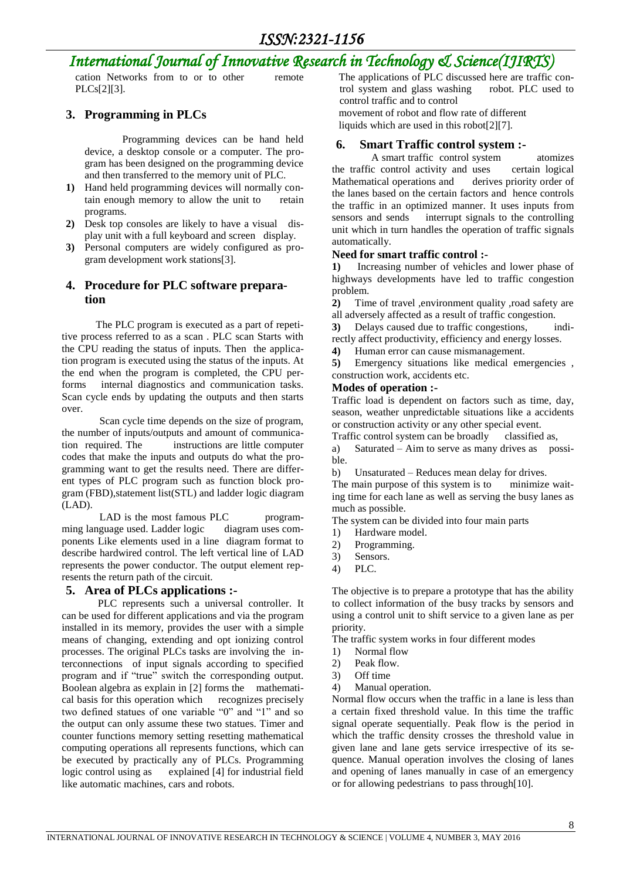## *International Journal of Innovative Research in Technology & Science(IJIRTS)*

cation Networks from to or to other remote PLCs[2][3].

#### **3. Programming in PLCs**

Programming devices can be hand held device, a desktop console or a computer. The program has been designed on the programming device and then transferred to the memory unit of PLC.

- **1)** Hand held programming devices will normally contain enough memory to allow the unit to retain programs.
- **2)** Desk top consoles are likely to have a visual display unit with a full keyboard and screen display.
- **3)** Personal computers are widely configured as program development work stations[3].

#### **4. Procedure for PLC software preparation**

 The PLC program is executed as a part of repetitive process referred to as a scan . PLC scan Starts with the CPU reading the status of inputs. Then the application program is executed using the status of the inputs. At the end when the program is completed, the CPU performs internal diagnostics and communication tasks. Scan cycle ends by updating the outputs and then starts over.

Scan cycle time depends on the size of program, the number of inputs/outputs and amount of communication required. The instructions are little computer codes that make the inputs and outputs do what the programming want to get the results need. There are different types of PLC program such as function block program (FBD),statement list(STL) and ladder logic diagram (LAD).

LAD is the most famous PLC programming language used. Ladder logic diagram uses components Like elements used in a line diagram format to describe hardwired control. The left vertical line of LAD represents the power conductor. The output element represents the return path of the circuit.

#### **5. Area of PLCs applications :-**

 PLC represents such a universal controller. It can be used for different applications and via the program installed in its memory, provides the user with a simple means of changing, extending and opt ionizing control processes. The original PLCs tasks are involving the interconnections of input signals according to specified program and if "true" switch the corresponding output. Boolean algebra as explain in [2] forms the mathematical basis for this operation which recognizes precisely two defined statues of one variable "0" and "1" and so the output can only assume these two statues. Timer and counter functions memory setting resetting mathematical computing operations all represents functions, which can be executed by practically any of PLCs. Programming logic control using as explained [4] for industrial field like automatic machines, cars and robots.

The applications of PLC discussed here are traffic con-<br>trol system and glass washing robot. PLC used to trol system and glass washing control traffic and to control movement of robot and flow rate of different liquids which are used in this robot[2][7].

#### **6. Smart Traffic control system :-**

 A smart traffic control system atomizes the traffic control activity and uses certain logical Mathematical operations and derives priority order of the lanes based on the certain factors and hence controls the traffic in an optimized manner. It uses inputs from sensors and sends interrupt signals to the controlling unit which in turn handles the operation of traffic signals automatically.

#### **Need for smart traffic control :-**

**1)** Increasing number of vehicles and lower phase of highways developments have led to traffic congestion problem.

**2)** Time of travel ,environment quality ,road safety are all adversely affected as a result of traffic congestion.

**3)** Delays caused due to traffic congestions, indirectly affect productivity, efficiency and energy losses.

**4)** Human error can cause mismanagement.

**5)** Emergency situations like medical emergencies , construction work, accidents etc.

#### **Modes of operation :-**

Traffic load is dependent on factors such as time, day, season, weather unpredictable situations like a accidents or construction activity or any other special event.

Traffic control system can be broadly classified as,

a) Saturated – Aim to serve as many drives as possible.

b) Unsaturated – Reduces mean delay for drives.

The main purpose of this system is to minimize waiting time for each lane as well as serving the busy lanes as much as possible.

The system can be divided into four main parts

- 1) Hardware model.
- 2) Programming.
- 3) Sensors.
- 4) PLC.

The objective is to prepare a prototype that has the ability to collect information of the busy tracks by sensors and using a control unit to shift service to a given lane as per priority.

The traffic system works in four different modes

- 1) Normal flow
- 2) Peak flow.
- 3) Off time
- 4) Manual operation.

Normal flow occurs when the traffic in a lane is less than a certain fixed threshold value. In this time the traffic signal operate sequentially. Peak flow is the period in which the traffic density crosses the threshold value in given lane and lane gets service irrespective of its sequence. Manual operation involves the closing of lanes and opening of lanes manually in case of an emergency or for allowing pedestrians to pass through[10].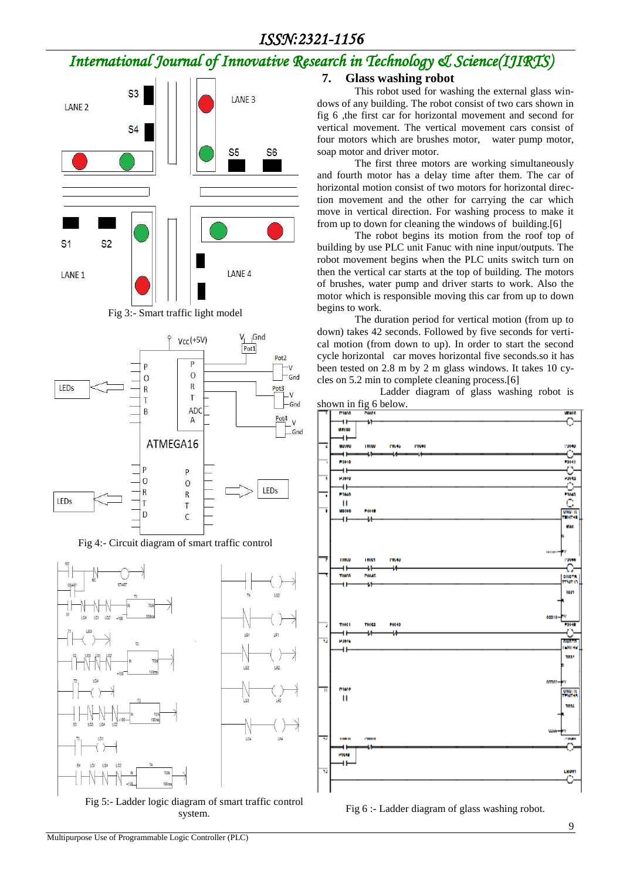# *ISSN:2321-1156*

# *International Journal of Innovative Research in Technology & Science(IJIRTS)*



Fig 3:- Smart traffic light model



Fig 4:- Circuit diagram of smart traffic control



Fig 5:- Ladder logic diagram of smart traffic control system.

### **7. Glass washing robot**

This robot used for washing the external glass windows of any building. The robot consist of two cars shown in fig 6 ,the first car for horizontal movement and second for vertical movement. The vertical movement cars consist of four motors which are brushes motor, water pump motor, soap motor and driver motor.

The first three motors are working simultaneously and fourth motor has a delay time after them. The car of horizontal motion consist of two motors for horizontal direction movement and the other for carrying the car which move in vertical direction. For washing process to make it from up to down for cleaning the windows of building.[6]

The robot begins its motion from the roof top of building by use PLC unit Fanuc with nine input/outputs. The robot movement begins when the PLC units switch turn on then the vertical car starts at the top of building. The motors of brushes, water pump and driver starts to work. Also the motor which is responsible moving this car from up to down begins to work.

The duration period for vertical motion (from up to down) takes 42 seconds. Followed by five seconds for vertical motion (from down to up). In order to start the second cycle horizontal car moves horizontal five seconds.so it has been tested on 2.8 m by 2 m glass windows. It takes 10 cycles on 5.2 min to complete cleaning process.[6]

 Ladder diagram of glass washing robot is shown in fig 6 below.



Fig 6 :- Ladder diagram of glass washing robot.